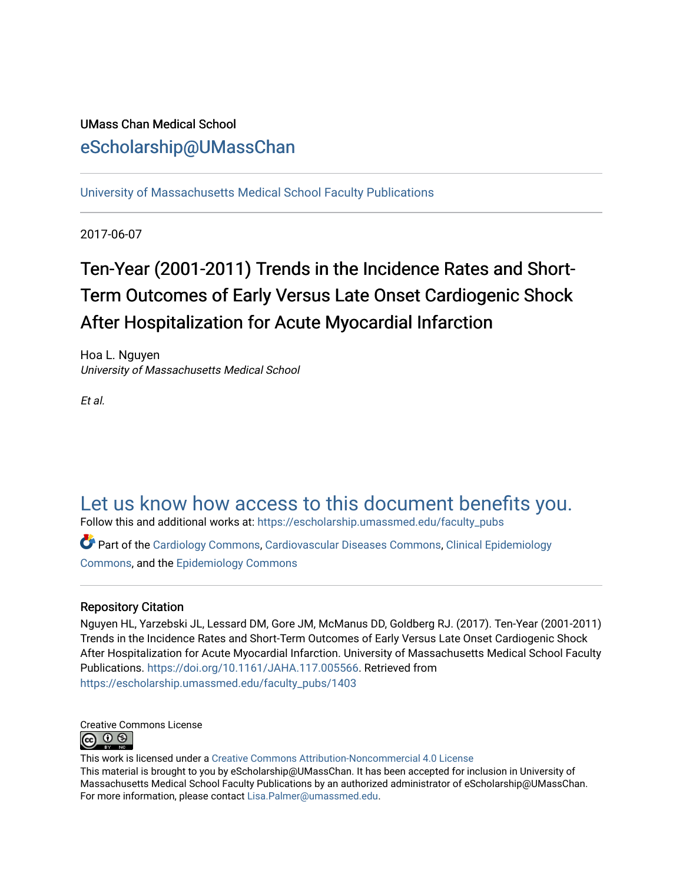## UMass Chan Medical School [eScholarship@UMassChan](https://escholarship.umassmed.edu/)

[University of Massachusetts Medical School Faculty Publications](https://escholarship.umassmed.edu/faculty_pubs)

2017-06-07

# Ten-Year (2001-2011) Trends in the Incidence Rates and Short-Term Outcomes of Early Versus Late Onset Cardiogenic Shock After Hospitalization for Acute Myocardial Infarction

Hoa L. Nguyen University of Massachusetts Medical School

Et al.

# [Let us know how access to this document benefits you.](https://arcsapps.umassmed.edu/redcap/surveys/?s=XWRHNF9EJE)

Follow this and additional works at: [https://escholarship.umassmed.edu/faculty\\_pubs](https://escholarship.umassmed.edu/faculty_pubs?utm_source=escholarship.umassmed.edu%2Ffaculty_pubs%2F1403&utm_medium=PDF&utm_campaign=PDFCoverPages) 

Part of the [Cardiology Commons](http://network.bepress.com/hgg/discipline/683?utm_source=escholarship.umassmed.edu%2Ffaculty_pubs%2F1403&utm_medium=PDF&utm_campaign=PDFCoverPages), [Cardiovascular Diseases Commons,](http://network.bepress.com/hgg/discipline/929?utm_source=escholarship.umassmed.edu%2Ffaculty_pubs%2F1403&utm_medium=PDF&utm_campaign=PDFCoverPages) [Clinical Epidemiology](http://network.bepress.com/hgg/discipline/815?utm_source=escholarship.umassmed.edu%2Ffaculty_pubs%2F1403&utm_medium=PDF&utm_campaign=PDFCoverPages)  [Commons](http://network.bepress.com/hgg/discipline/815?utm_source=escholarship.umassmed.edu%2Ffaculty_pubs%2F1403&utm_medium=PDF&utm_campaign=PDFCoverPages), and the [Epidemiology Commons](http://network.bepress.com/hgg/discipline/740?utm_source=escholarship.umassmed.edu%2Ffaculty_pubs%2F1403&utm_medium=PDF&utm_campaign=PDFCoverPages) 

## Repository Citation

Nguyen HL, Yarzebski JL, Lessard DM, Gore JM, McManus DD, Goldberg RJ. (2017). Ten-Year (2001-2011) Trends in the Incidence Rates and Short-Term Outcomes of Early Versus Late Onset Cardiogenic Shock After Hospitalization for Acute Myocardial Infarction. University of Massachusetts Medical School Faculty Publications. [https://doi.org/10.1161/JAHA.117.005566.](https://doi.org/10.1161/JAHA.117.005566) Retrieved from [https://escholarship.umassmed.edu/faculty\\_pubs/1403](https://escholarship.umassmed.edu/faculty_pubs/1403?utm_source=escholarship.umassmed.edu%2Ffaculty_pubs%2F1403&utm_medium=PDF&utm_campaign=PDFCoverPages) 



This work is licensed under a [Creative Commons Attribution-Noncommercial 4.0 License](http://creativecommons.org/licenses/by-nc/4.0/)  This material is brought to you by eScholarship@UMassChan. It has been accepted for inclusion in University of Massachusetts Medical School Faculty Publications by an authorized administrator of eScholarship@UMassChan. For more information, please contact [Lisa.Palmer@umassmed.edu](mailto:Lisa.Palmer@umassmed.edu).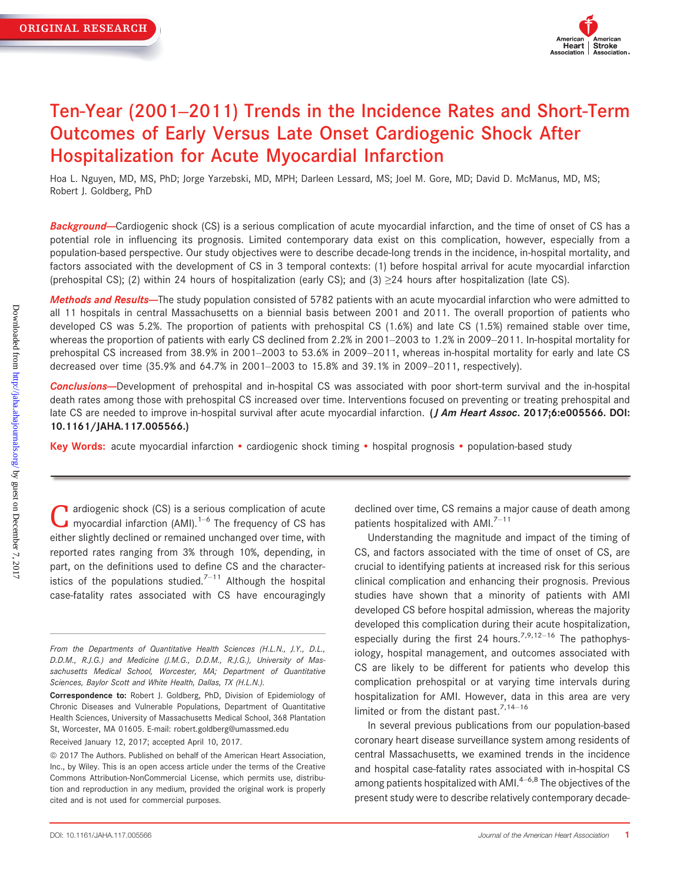

## Ten-Year (2001–2011) Trends in the Incidence Rates and Short-Term Outcomes of Early Versus Late Onset Cardiogenic Shock After Hospitalization for Acute Myocardial Infarction

Hoa L. Nguyen, MD, MS, PhD; Jorge Yarzebski, MD, MPH; Darleen Lessard, MS; Joel M. Gore, MD; David D. McManus, MD, MS; Robert J. Goldberg, PhD

Background-Cardiogenic shock (CS) is a serious complication of acute myocardial infarction, and the time of onset of CS has a potential role in influencing its prognosis. Limited contemporary data exist on this complication, however, especially from a population-based perspective. Our study objectives were to describe decade-long trends in the incidence, in-hospital mortality, and factors associated with the development of CS in 3 temporal contexts: (1) before hospital arrival for acute myocardial infarction (prehospital CS); (2) within 24 hours of hospitalization (early CS); and (3)  $\geq$ 24 hours after hospitalization (late CS).

Methods and Results-The study population consisted of 5782 patients with an acute myocardial infarction who were admitted to all 11 hospitals in central Massachusetts on a biennial basis between 2001 and 2011. The overall proportion of patients who developed CS was 5.2%. The proportion of patients with prehospital CS (1.6%) and late CS (1.5%) remained stable over time, whereas the proportion of patients with early CS declined from 2.2% in 2001–2003 to 1.2% in 2009–2011. In-hospital mortality for prehospital CS increased from 38.9% in 2001–2003 to 53.6% in 2009–2011, whereas in-hospital mortality for early and late CS decreased over time (35.9% and 64.7% in 2001–2003 to 15.8% and 39.1% in 2009–2011, respectively).

Conclusions---Development of prehospital and in-hospital CS was associated with poor short-term survival and the in-hospital death rates among those with prehospital CS increased over time. Interventions focused on preventing or treating prehospital and late CS are needed to improve in-hospital survival after acute myocardial infarction. (*J Am Heart Assoc.* 2017;6:e005566. DOI: [10.1161/JAHA.117.005566.](info:doi/10.1161/JAHA.117.005566))

Key Words: acute myocardial infarction • cardiogenic shock timing • hospital prognosis • population-based study

**C** ardiogenic shock (CS) is a serious complication of acute myocardial infarction (AMI).<sup>1–6</sup> The frequency of CS has either slightly declined or remained unchanged over time, with reported rates ranging from 3% through 10%, depending, in part, on the definitions used to define CS and the characteristics of the populations studied.<sup> $7-11$ </sup> Although the hospital case-fatality rates associated with CS have encouragingly

declined over time, CS remains a major cause of death among patients hospitalized with AMI. $7-11$ 

Understanding the magnitude and impact of the timing of CS, and factors associated with the time of onset of CS, are crucial to identifying patients at increased risk for this serious clinical complication and enhancing their prognosis. Previous studies have shown that a minority of patients with AMI developed CS before hospital admission, whereas the majority developed this complication during their acute hospitalization, especially during the first 24 hours.<sup>7,9,12–16</sup> The pathophysiology, hospital management, and outcomes associated with CS are likely to be different for patients who develop this complication prehospital or at varying time intervals during hospitalization for AMI. However, data in this area are very limited or from the distant past.<sup>7,14–16</sup>

In several previous publications from our population-based coronary heart disease surveillance system among residents of central Massachusetts, we examined trends in the incidence and hospital case-fatality rates associated with in-hospital CS among patients hospitalized with AMI. $4-6,8$  The objectives of the present study were to describe relatively contemporary decade-

From the Departments of Quantitative Health Sciences (H.L.N., J.Y., D.L., D.D.M., R.J.G.) and Medicine (J.M.G., D.D.M., R.J.G.), University of Massachusetts Medical School, Worcester, MA; Department of Quantitative Sciences, Baylor Scott and White Health, Dallas, TX (H.L.N.).

Correspondence to: Robert J. Goldberg, PhD, Division of Epidemiology of Chronic Diseases and Vulnerable Populations, Department of Quantitative Health Sciences, University of Massachusetts Medical School, 368 Plantation St, Worcester, MA 01605. E-mail: robert.goldberg@umassmed.edu

Received January 12, 2017; accepted April 10, 2017.

 $©$  2017 The Authors. Published on behalf of the American Heart Association, Inc., by Wiley. This is an open access article under the terms of the [Creative](http://creativecommons.org/licenses/by-nc/4.0/) [Commons Attribution-NonCommercial](http://creativecommons.org/licenses/by-nc/4.0/) License, which permits use, distribution and reproduction in any medium, provided the original work is properly cited and is not used for commercial purposes.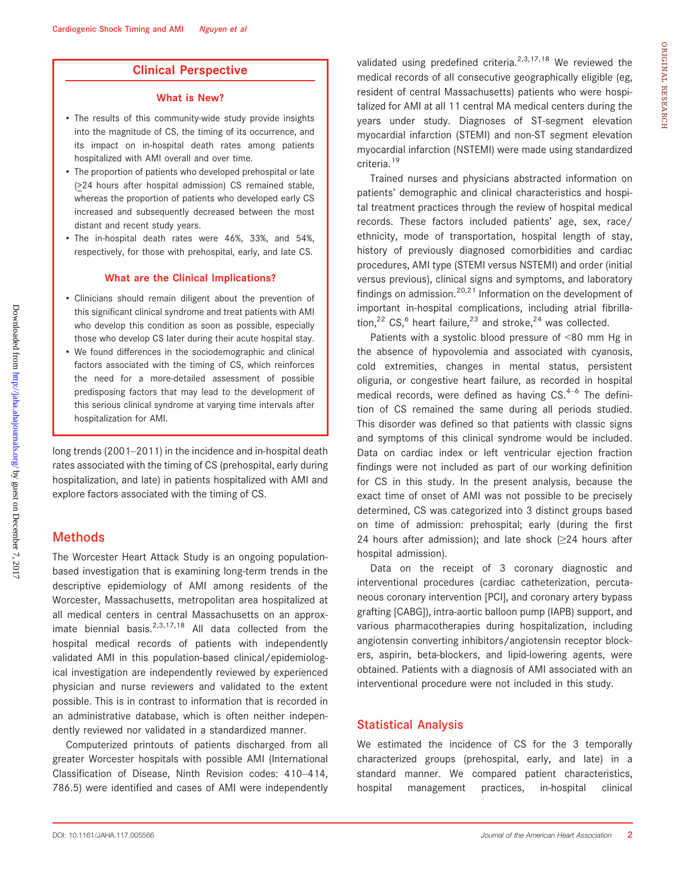### Clinical Perspective

#### What is New?

- The results of this community-wide study provide insights into the magnitude of CS, the timing of its occurrence, and its impact on in-hospital death rates among patients hospitalized with AMI overall and over time.
- The proportion of patients who developed prehospital or late (>24 hours after hospital admission) CS remained stable, whereas the proportion of patients who developed early CS increased and subsequently decreased between the most distant and recent study years.
- The in-hospital death rates were 46%, 33%, and 54%, respectively, for those with prehospital, early, and late CS.

#### What are the Clinical Implications?

- Clinicians should remain diligent about the prevention of this significant clinical syndrome and treat patients with AMI who develop this condition as soon as possible, especially those who develop CS later during their acute hospital stay.
- We found differences in the sociodemographic and clinical factors associated with the timing of CS, which reinforces the need for a more-detailed assessment of possible predisposing factors that may lead to the development of this serious clinical syndrome at varying time intervals after hospitalization for AMI.

long trends (2001–2011) in the incidence and in-hospital death rates associated with the timing of CS (prehospital, early during hospitalization, and late) in patients hospitalized with AMI and explore factors associated with the timing of CS.

### Methods

The Worcester Heart Attack Study is an ongoing populationbased investigation that is examining long-term trends in the descriptive epidemiology of AMI among residents of the Worcester, Massachusetts, metropolitan area hospitalized at all medical centers in central Massachusetts on an approximate biennial basis. $2,3,17,18$  All data collected from the hospital medical records of patients with independently validated AMI in this population-based clinical/epidemiological investigation are independently reviewed by experienced physician and nurse reviewers and validated to the extent possible. This is in contrast to information that is recorded in an administrative database, which is often neither independently reviewed nor validated in a standardized manner.

Computerized printouts of patients discharged from all greater Worcester hospitals with possible AMI (International Classification of Disease, Ninth Revision codes: 410–414, 786.5) were identified and cases of AMI were independently

validated using predefined criteria.<sup>2,3,17,18</sup> We reviewed the medical records of all consecutive geographically eligible (eg, resident of central Massachusetts) patients who were hospitalized for AMI at all 11 central MA medical centers during the years under study. Diagnoses of ST-segment elevation myocardial infarction (STEMI) and non-ST segment elevation myocardial infarction (NSTEMI) were made using standardized criteria.<sup>19</sup>

Trained nurses and physicians abstracted information on patients' demographic and clinical characteristics and hospital treatment practices through the review of hospital medical records. These factors included patients' age, sex, race/ ethnicity, mode of transportation, hospital length of stay, history of previously diagnosed comorbidities and cardiac procedures, AMI type (STEMI versus NSTEMI) and order (initial versus previous), clinical signs and symptoms, and laboratory findings on admission.<sup>20,21</sup> Information on the development of important in-hospital complications, including atrial fibrillation,<sup>22</sup> CS,<sup>6</sup> heart failure,<sup>23</sup> and stroke,<sup>24</sup> was collected.

Patients with a systolic blood pressure of <80 mm Hg in the absence of hypovolemia and associated with cyanosis, cold extremities, changes in mental status, persistent oliguria, or congestive heart failure, as recorded in hospital medical records, were defined as having  $CS.<sup>4–6</sup>$  The definition of CS remained the same during all periods studied. This disorder was defined so that patients with classic signs and symptoms of this clinical syndrome would be included. Data on cardiac index or left ventricular ejection fraction findings were not included as part of our working definition for CS in this study. In the present analysis, because the exact time of onset of AMI was not possible to be precisely determined, CS was categorized into 3 distinct groups based on time of admission: prehospital; early (during the first 24 hours after admission); and late shock  $(≥24$  hours after hospital admission).

Data on the receipt of 3 coronary diagnostic and interventional procedures (cardiac catheterization, percutaneous coronary intervention [PCI], and coronary artery bypass grafting [CABG]), intra-aortic balloon pump (IAPB) support, and various pharmacotherapies during hospitalization, including angiotensin converting inhibitors/angiotensin receptor blockers, aspirin, beta-blockers, and lipid-lowering agents, were obtained. Patients with a diagnosis of AMI associated with an interventional procedure were not included in this study.

#### Statistical Analysis

We estimated the incidence of CS for the 3 temporally characterized groups (prehospital, early, and late) in a standard manner. We compared patient characteristics, hospital management practices, in-hospital clinical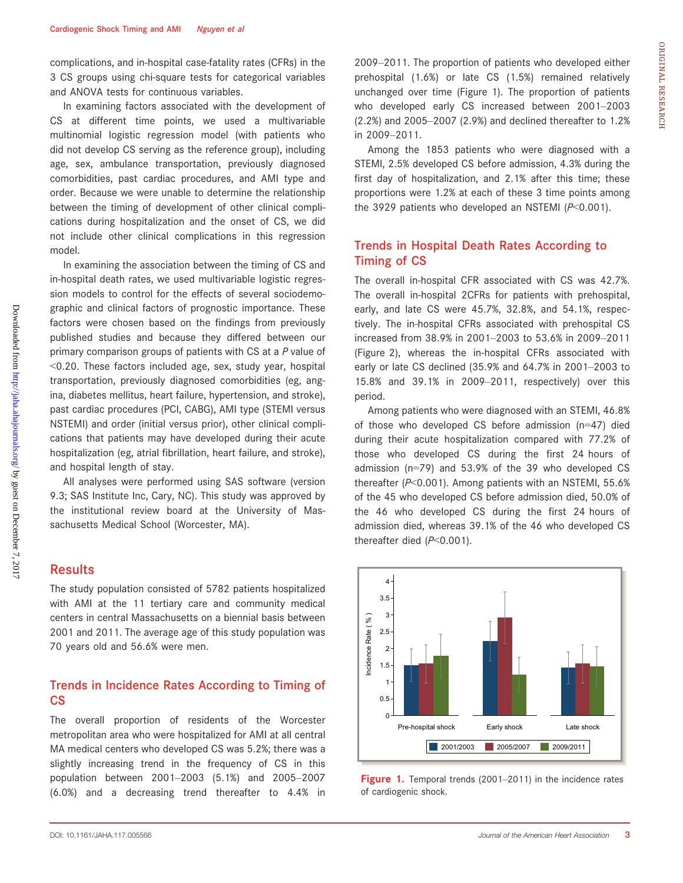complications, and in-hospital case-fatality rates (CFRs) in the 3 CS groups using chi-square tests for categorical variables and ANOVA tests for continuous variables.

In examining factors associated with the development of CS at different time points, we used a multivariable multinomial logistic regression model (with patients who did not develop CS serving as the reference group), including age, sex, ambulance transportation, previously diagnosed comorbidities, past cardiac procedures, and AMI type and order. Because we were unable to determine the relationship between the timing of development of other clinical complications during hospitalization and the onset of CS, we did not include other clinical complications in this regression model.

In examining the association between the timing of CS and in-hospital death rates, we used multivariable logistic regression models to control for the effects of several sociodemographic and clinical factors of prognostic importance. These factors were chosen based on the findings from previously published studies and because they differed between our primary comparison groups of patients with CS at a P value of <0.20. These factors included age, sex, study year, hospital transportation, previously diagnosed comorbidities (eg, angina, diabetes mellitus, heart failure, hypertension, and stroke), past cardiac procedures (PCI, CABG), AMI type (STEMI versus NSTEMI) and order (initial versus prior), other clinical complications that patients may have developed during their acute hospitalization (eg, atrial fibrillation, heart failure, and stroke), and hospital length of stay.

All analyses were performed using SAS software (version 9.3; SAS Institute Inc, Cary, NC). This study was approved by the institutional review board at the University of Massachusetts Medical School (Worcester, MA).

## **Results**

The study population consisted of 5782 patients hospitalized with AMI at the 11 tertiary care and community medical centers in central Massachusetts on a biennial basis between 2001 and 2011. The average age of this study population was 70 years old and 56.6% were men.

## Trends in Incidence Rates According to Timing of CS

The overall proportion of residents of the Worcester metropolitan area who were hospitalized for AMI at all central MA medical centers who developed CS was 5.2%; there was a slightly increasing trend in the frequency of CS in this population between 2001–2003 (5.1%) and 2005–2007 (6.0%) and a decreasing trend thereafter to 4.4% in

2009–2011. The proportion of patients who developed either prehospital (1.6%) or late CS (1.5%) remained relatively unchanged over time (Figure 1). The proportion of patients who developed early CS increased between 2001–2003 (2.2%) and 2005–2007 (2.9%) and declined thereafter to 1.2% in 2009–2011.

Among the 1853 patients who were diagnosed with a STEMI, 2.5% developed CS before admission, 4.3% during the first day of hospitalization, and 2.1% after this time; these proportions were 1.2% at each of these 3 time points among the 3929 patients who developed an NSTEMI ( $P<0.001$ ).

## Trends in Hospital Death Rates According to Timing of CS

The overall in-hospital CFR associated with CS was 42.7%. The overall in-hospital 2CFRs for patients with prehospital, early, and late CS were 45.7%, 32.8%, and 54.1%, respectively. The in-hospital CFRs associated with prehospital CS increased from 38.9% in 2001–2003 to 53.6% in 2009–2011 (Figure 2), whereas the in-hospital CFRs associated with early or late CS declined (35.9% and 64.7% in 2001–2003 to 15.8% and 39.1% in 2009–2011, respectively) over this period.

Among patients who were diagnosed with an STEMI, 46.8% of those who developed CS before admission (n=47) died during their acute hospitalization compared with 77.2% of those who developed CS during the first 24 hours of admission (n=79) and 53.9% of the 39 who developed CS thereafter ( $P<0.001$ ). Among patients with an NSTEMI, 55.6% of the 45 who developed CS before admission died, 50.0% of the 46 who developed CS during the first 24 hours of admission died, whereas 39.1% of the 46 who developed CS thereafter died  $(P<0.001)$ .



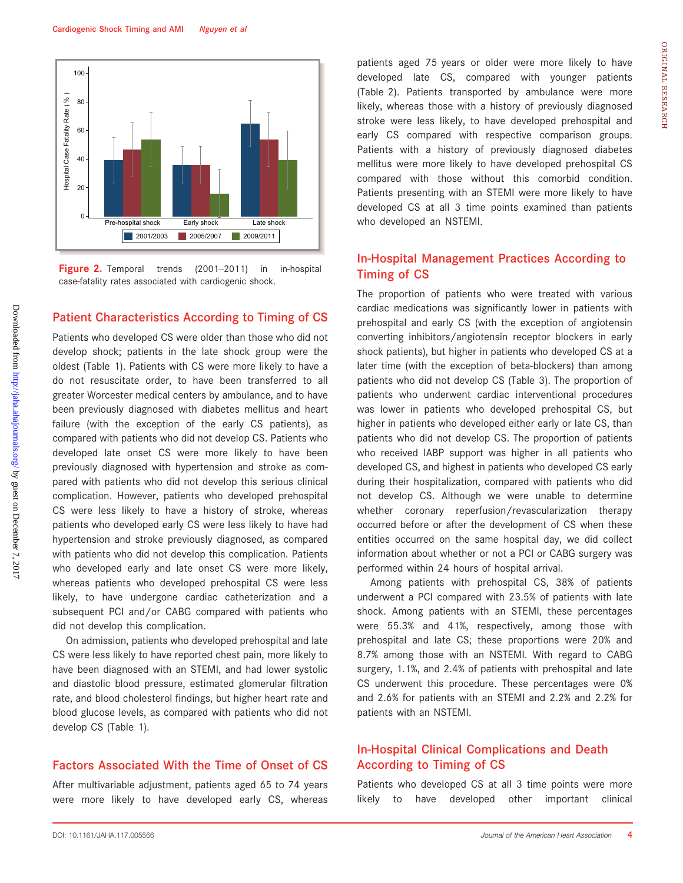

Figure 2. Temporal trends (2001-2011) in in-hospital case-fatality rates associated with cardiogenic shock.

## Patient Characteristics According to Timing of CS

Patients who developed CS were older than those who did not develop shock; patients in the late shock group were the oldest (Table 1). Patients with CS were more likely to have a do not resuscitate order, to have been transferred to all greater Worcester medical centers by ambulance, and to have been previously diagnosed with diabetes mellitus and heart failure (with the exception of the early CS patients), as compared with patients who did not develop CS. Patients who developed late onset CS were more likely to have been previously diagnosed with hypertension and stroke as compared with patients who did not develop this serious clinical complication. However, patients who developed prehospital CS were less likely to have a history of stroke, whereas patients who developed early CS were less likely to have had hypertension and stroke previously diagnosed, as compared with patients who did not develop this complication. Patients who developed early and late onset CS were more likely, whereas patients who developed prehospital CS were less likely, to have undergone cardiac catheterization and a subsequent PCI and/or CABG compared with patients who did not develop this complication.

On admission, patients who developed prehospital and late CS were less likely to have reported chest pain, more likely to have been diagnosed with an STEMI, and had lower systolic and diastolic blood pressure, estimated glomerular filtration rate, and blood cholesterol findings, but higher heart rate and blood glucose levels, as compared with patients who did not develop CS (Table 1).

#### Factors Associated With the Time of Onset of CS

After multivariable adjustment, patients aged 65 to 74 years were more likely to have developed early CS, whereas patients aged 75 years or older were more likely to have developed late CS, compared with younger patients (Table 2). Patients transported by ambulance were more likely, whereas those with a history of previously diagnosed stroke were less likely, to have developed prehospital and early CS compared with respective comparison groups. Patients with a history of previously diagnosed diabetes mellitus were more likely to have developed prehospital CS compared with those without this comorbid condition. Patients presenting with an STEMI were more likely to have developed CS at all 3 time points examined than patients who developed an NSTEMI.

## In-Hospital Management Practices According to Timing of CS

The proportion of patients who were treated with various cardiac medications was significantly lower in patients with prehospital and early CS (with the exception of angiotensin converting inhibitors/angiotensin receptor blockers in early shock patients), but higher in patients who developed CS at a later time (with the exception of beta-blockers) than among patients who did not develop CS (Table 3). The proportion of patients who underwent cardiac interventional procedures was lower in patients who developed prehospital CS, but higher in patients who developed either early or late CS, than patients who did not develop CS. The proportion of patients who received IABP support was higher in all patients who developed CS, and highest in patients who developed CS early during their hospitalization, compared with patients who did not develop CS. Although we were unable to determine whether coronary reperfusion/revascularization therapy occurred before or after the development of CS when these entities occurred on the same hospital day, we did collect information about whether or not a PCI or CABG surgery was performed within 24 hours of hospital arrival.

Among patients with prehospital CS, 38% of patients underwent a PCI compared with 23.5% of patients with late shock. Among patients with an STEMI, these percentages were 55.3% and 41%, respectively, among those with prehospital and late CS; these proportions were 20% and 8.7% among those with an NSTEMI. With regard to CABG surgery, 1.1%, and 2.4% of patients with prehospital and late CS underwent this procedure. These percentages were 0% and 2.6% for patients with an STEMI and 2.2% and 2.2% for patients with an NSTEMI.

## In-Hospital Clinical Complications and Death According to Timing of CS

Patients who developed CS at all 3 time points were more likely to have developed other important clinical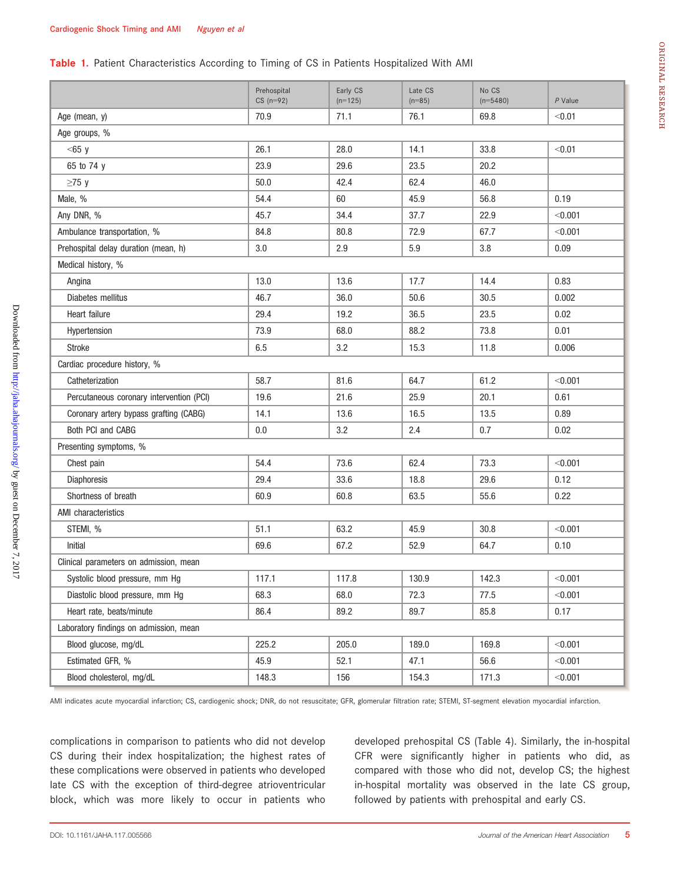#### Table 1. Patient Characteristics According to Timing of CS in Patients Hospitalized With AMI

|                                          | Prehospital<br>$CS$ (n=92) | Early CS<br>$(n=125)$ | Late CS<br>$(n=85)$ | No CS<br>$(n=5480)$ | $P$ Value |  |
|------------------------------------------|----------------------------|-----------------------|---------------------|---------------------|-----------|--|
| Age (mean, y)                            | 70.9                       | 71.1                  | 76.1                | 69.8                | < 0.01    |  |
| Age groups, %                            |                            |                       |                     |                     |           |  |
| $<$ 65 y                                 | 26.1                       | 28.0                  | 14.1                | 33.8                | < 0.01    |  |
| 65 to 74 y                               | 23.9                       | 29.6                  | 23.5                | 20.2                |           |  |
| $\geq$ 75 y                              | 50.0                       | 42.4                  | 62.4                | 46.0                |           |  |
| Male, %                                  | 54.4                       | 60                    | 45.9                | 56.8                | 0.19      |  |
| Any DNR, %                               | 45.7                       | 34.4                  | 37.7                | 22.9                | < 0.001   |  |
| Ambulance transportation, %              | 84.8                       | 80.8                  | 72.9                | 67.7                | < 0.001   |  |
| Prehospital delay duration (mean, h)     | 3.0                        | 2.9                   | 5.9                 | 3.8                 | 0.09      |  |
| Medical history, %                       |                            |                       |                     |                     |           |  |
| Angina                                   | 13.0                       | 13.6                  | 17.7                | 14.4                | 0.83      |  |
| Diabetes mellitus                        | 46.7                       | 36.0                  | 50.6                | 30.5                | 0.002     |  |
| Heart failure                            | 29.4                       | 19.2                  | 36.5                | 23.5                | 0.02      |  |
| Hypertension                             | 73.9                       | 68.0                  | 88.2                | 73.8                | 0.01      |  |
| <b>Stroke</b>                            | 6.5                        | 3.2                   | 15.3                | 11.8                | 0.006     |  |
| Cardiac procedure history, %             |                            |                       |                     |                     |           |  |
| Catheterization                          | 58.7                       | 81.6                  | 64.7                | 61.2                | < 0.001   |  |
| Percutaneous coronary intervention (PCI) | 19.6                       | 21.6                  | 25.9                | 20.1                | 0.61      |  |
| Coronary artery bypass grafting (CABG)   | 14.1                       | 13.6                  | 16.5                | 13.5                | 0.89      |  |
| Both PCI and CABG                        | 0.0                        | 3.2                   | 2.4                 | 0.7                 | 0.02      |  |
| Presenting symptoms, %                   |                            |                       |                     |                     |           |  |
| Chest pain                               | 54.4                       | 73.6                  | 62.4                | 73.3                | < 0.001   |  |
| Diaphoresis                              | 29.4                       | 33.6                  | 18.8                | 29.6                | 0.12      |  |
| Shortness of breath                      | 60.9                       | 60.8                  | 63.5                | 55.6                | 0.22      |  |
| AMI characteristics                      |                            |                       |                     |                     |           |  |
| STEMI, %                                 | 51.1                       | 63.2                  | 45.9                | 30.8                | < 0.001   |  |
| Initial                                  | 69.6                       | 67.2                  | 52.9                | 64.7                | 0.10      |  |
| Clinical parameters on admission, mean   |                            |                       |                     |                     |           |  |
| Systolic blood pressure, mm Hg           | 117.1                      | 117.8                 | 130.9               | 142.3               | < 0.001   |  |
| Diastolic blood pressure, mm Hg          | 68.3                       | 68.0                  | 72.3                | 77.5                | < 0.001   |  |
| Heart rate, beats/minute                 | 86.4                       | 89.2                  | 89.7                | 85.8                | 0.17      |  |
| Laboratory findings on admission, mean   |                            |                       |                     |                     |           |  |
| Blood glucose, mg/dL                     | 225.2                      | 205.0                 | 189.0               | 169.8               | < 0.001   |  |
| Estimated GFR, %                         | 45.9                       | 52.1                  | 47.1                | 56.6                | < 0.001   |  |
| Blood cholesterol, mg/dL                 | 148.3                      | 156                   | 154.3               | 171.3               | < 0.001   |  |

AMI indicates acute myocardial infarction; CS, cardiogenic shock; DNR, do not resuscitate; GFR, glomerular filtration rate; STEMI, ST-segment elevation myocardial infarction.

complications in comparison to patients who did not develop CS during their index hospitalization; the highest rates of these complications were observed in patients who developed late CS with the exception of third-degree atrioventricular block, which was more likely to occur in patients who developed prehospital CS (Table 4). Similarly, the in-hospital CFR were significantly higher in patients who did, as compared with those who did not, develop CS; the highest in-hospital mortality was observed in the late CS group, followed by patients with prehospital and early CS.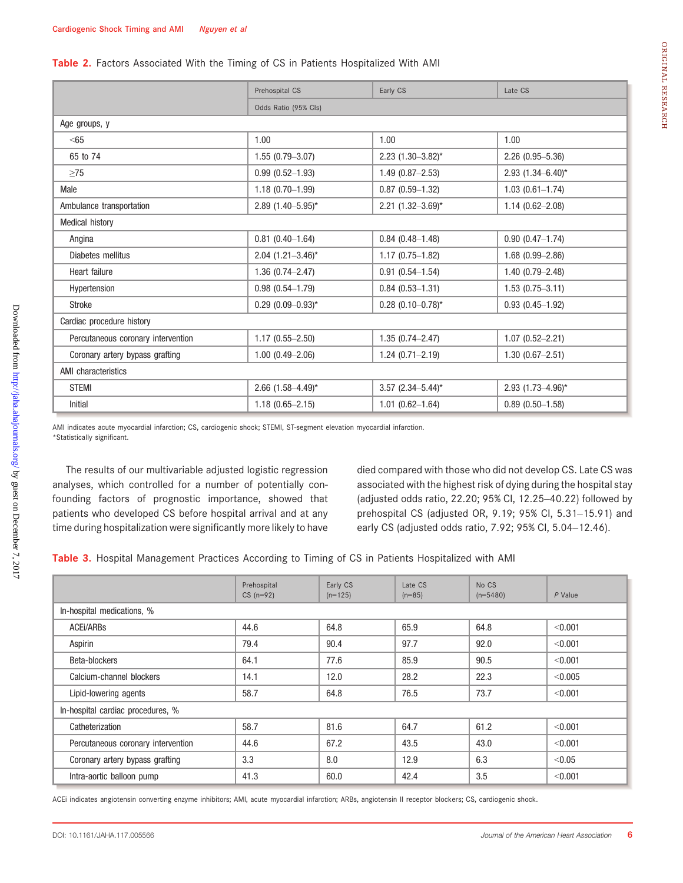#### Table 2. Factors Associated With the Timing of CS in Patients Hospitalized With AMI

|                                    |                          | Early CS                 |                     |  |  |  |
|------------------------------------|--------------------------|--------------------------|---------------------|--|--|--|
|                                    | Prehospital CS           | Late CS                  |                     |  |  |  |
|                                    | Odds Ratio (95% Cls)     |                          |                     |  |  |  |
| Age groups, y                      |                          |                          |                     |  |  |  |
| < 65                               | 1.00                     | 1.00                     | 1.00                |  |  |  |
| 65 to 74                           | $1.55(0.79 - 3.07)$      | 2.23 $(1.30 - 3.82)^{*}$ | $2.26(0.95 - 5.36)$ |  |  |  |
| >75                                | $0.99(0.52 - 1.93)$      | $1.49(0.87 - 2.53)$      | $2.93$ (1.34-6.40)* |  |  |  |
| Male                               | $1.18(0.70 - 1.99)$      | $0.87$ $(0.59 - 1.32)$   | $1.03(0.61 - 1.74)$ |  |  |  |
| Ambulance transportation           | 2.89 $(1.40 - 5.95)^*$   | 2.21 $(1.32 - 3.69)^*$   | $1.14(0.62 - 2.08)$ |  |  |  |
| <b>Medical history</b>             |                          |                          |                     |  |  |  |
| Angina                             | $0.81$ $(0.40-1.64)$     | $0.84(0.48 - 1.48)$      | $0.90(0.47 - 1.74)$ |  |  |  |
| Diabetes mellitus                  | $2.04$ (1.21-3.46)*      | $1.17(0.75 - 1.82)$      | $1.68(0.99 - 2.86)$ |  |  |  |
| Heart failure                      | $1.36(0.74 - 2.47)$      | $0.91(0.54 - 1.54)$      | $1.40(0.79 - 2.48)$ |  |  |  |
| Hypertension                       | $0.98$ $(0.54 - 1.79)$   | $0.84$ (0.53-1.31)       | $1.53(0.75 - 3.11)$ |  |  |  |
| <b>Stroke</b>                      | $0.29$ $(0.09 - 0.93)^*$ | $0.28$ (0.10-0.78)*      | $0.93(0.45 - 1.92)$ |  |  |  |
| Cardiac procedure history          |                          |                          |                     |  |  |  |
| Percutaneous coronary intervention | $1.17(0.55 - 2.50)$      | $1.35(0.74 - 2.47)$      | $1.07(0.52 - 2.21)$ |  |  |  |
| Coronary artery bypass grafting    | $1.00(0.49 - 2.06)$      | $1.24(0.71 - 2.19)$      | $1.30(0.67 - 2.51)$ |  |  |  |
| AMI characteristics                |                          |                          |                     |  |  |  |
| <b>STEMI</b>                       | 2.66 $(1.58 - 4.49)^*$   | 3.57 $(2.34 - 5.44)^*$   | $2.93$ (1.73-4.96)* |  |  |  |
| Initial                            | $1.18(0.65 - 2.15)$      | $1.01$ $(0.62 - 1.64)$   | $0.89(0.50 - 1.58)$ |  |  |  |

AMI indicates acute myocardial infarction; CS, cardiogenic shock; STEMI, ST-segment elevation myocardial infarction. \*Statistically significant.

The results of our multivariable adjusted logistic regression analyses, which controlled for a number of potentially confounding factors of prognostic importance, showed that patients who developed CS before hospital arrival and at any time during hospitalization were significantly more likely to have died compared with those who did not develop CS. Late CS was associated with the highest risk of dying during the hospital stay (adjusted odds ratio, 22.20; 95% CI, 12.25–40.22) followed by prehospital CS (adjusted OR, 9.19; 95% CI, 5.31–15.91) and early CS (adjusted odds ratio, 7.92; 95% CI, 5.04–12.46).

| Table 3. Hospital Management Practices According to Timing of CS in Patients Hospitalized with AMI |  |
|----------------------------------------------------------------------------------------------------|--|
|----------------------------------------------------------------------------------------------------|--|

|                                    | Prehospital<br>$CS$ (n=92) | Early CS<br>$(n=125)$ | Late CS<br>$(n=85)$ | No CS<br>$(n=5480)$ | $P$ Value |
|------------------------------------|----------------------------|-----------------------|---------------------|---------------------|-----------|
| In-hospital medications, %         |                            |                       |                     |                     |           |
| ACEI/ARBS                          | 44.6                       | 64.8                  | 65.9                | 64.8                | < 0.001   |
| Aspirin                            | 79.4                       | 90.4                  | 97.7                | 92.0                | < 0.001   |
| Beta-blockers                      | 64.1                       | 77.6                  | 85.9                | 90.5                | < 0.001   |
| Calcium-channel blockers           | 14.1                       | 12.0                  | 28.2                | 22.3                | < 0.005   |
| Lipid-lowering agents              | 58.7                       | 64.8                  | 76.5                | 73.7                | < 0.001   |
| In-hospital cardiac procedures, %  |                            |                       |                     |                     |           |
| Catheterization                    | 58.7                       | 81.6                  | 64.7                | 61.2                | < 0.001   |
| Percutaneous coronary intervention | 44.6                       | 67.2                  | 43.5                | 43.0                | < 0.001   |
| Coronary artery bypass grafting    | 3.3                        | 8.0                   | 12.9                | 6.3                 | < 0.05    |
| Intra-aortic balloon pump          | 41.3                       | 60.0                  | 42.4                | 3.5                 | < 0.001   |

ACEi indicates angiotensin converting enzyme inhibitors; AMI, acute myocardial infarction; ARBs, angiotensin II receptor blockers; CS, cardiogenic shock.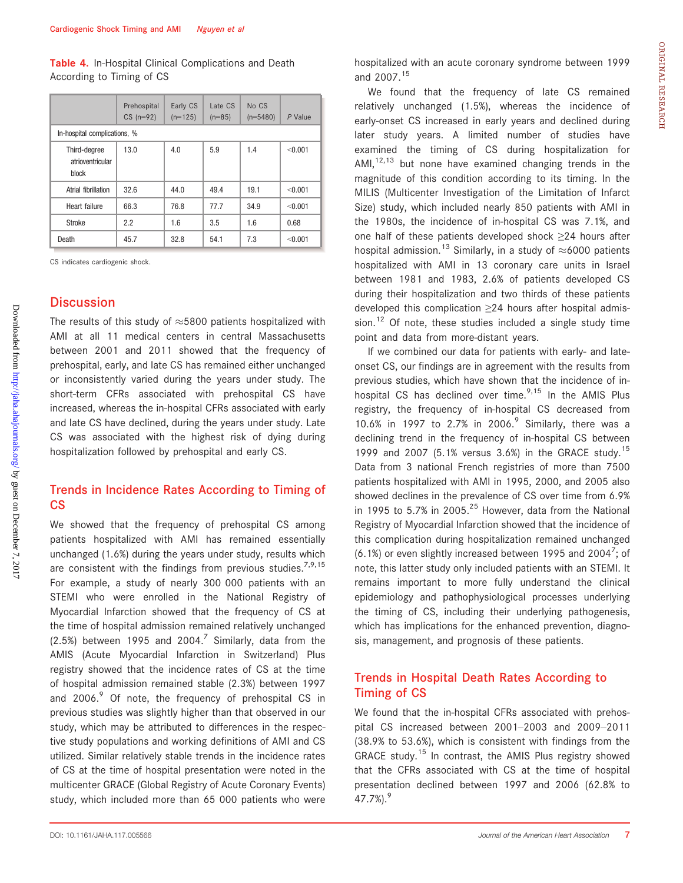Table 4. In-Hospital Clinical Complications and Death According to Timing of CS

|                                           | Prehospital<br>$CS$ (n=92) | Early CS<br>$(n=125)$ | Late CS<br>$(n=85)$ | No CS<br>$(n=5480)$ | $P$ Value |  |
|-------------------------------------------|----------------------------|-----------------------|---------------------|---------------------|-----------|--|
| In-hospital complications, %              |                            |                       |                     |                     |           |  |
| Third-degree<br>atrioventricular<br>block | 13.0                       | 4.0                   | 5.9                 | 1.4                 | < 0.001   |  |
| Atrial fibrillation                       | 32.6                       | 44.0                  | 49.4                | 19.1                | < 0.001   |  |
| Heart failure                             | 66.3                       | 76.8                  | 77.7                | 34.9                | < 0.001   |  |
| <b>Stroke</b>                             | 2.2                        | 1.6                   | 3.5                 | 1.6                 | 0.68      |  |
| Death                                     | 45.7                       | 32.8                  | 54.1                | 7.3                 | < 0.001   |  |

CS indicates cardiogenic shock.

## **Discussion**

The results of this study of  $\approx$  5800 patients hospitalized with AMI at all 11 medical centers in central Massachusetts between 2001 and 2011 showed that the frequency of prehospital, early, and late CS has remained either unchanged or inconsistently varied during the years under study. The short-term CFRs associated with prehospital CS have increased, whereas the in-hospital CFRs associated with early and late CS have declined, during the years under study. Late CS was associated with the highest risk of dying during hospitalization followed by prehospital and early CS.

## Trends in Incidence Rates According to Timing of CS

We showed that the frequency of prehospital CS among patients hospitalized with AMI has remained essentially unchanged (1.6%) during the years under study, results which are consistent with the findings from previous studies.<sup>7,9,15</sup> For example, a study of nearly 300 000 patients with an STEMI who were enrolled in the National Registry of Myocardial Infarction showed that the frequency of CS at the time of hospital admission remained relatively unchanged (2.5%) between 1995 and 2004.<sup>7</sup> Similarly, data from the AMIS (Acute Myocardial Infarction in Switzerland) Plus registry showed that the incidence rates of CS at the time of hospital admission remained stable (2.3%) between 1997 and 2006.<sup>9</sup> Of note, the frequency of prehospital CS in previous studies was slightly higher than that observed in our study, which may be attributed to differences in the respective study populations and working definitions of AMI and CS utilized. Similar relatively stable trends in the incidence rates of CS at the time of hospital presentation were noted in the multicenter GRACE (Global Registry of Acute Coronary Events) study, which included more than 65 000 patients who were

hospitalized with an acute coronary syndrome between 1999 and 2007.<sup>15</sup>

We found that the frequency of late CS remained relatively unchanged (1.5%), whereas the incidence of early-onset CS increased in early years and declined during later study years. A limited number of studies have examined the timing of CS during hospitalization for AMI, $^{12,13}$  but none have examined changing trends in the magnitude of this condition according to its timing. In the MILIS (Multicenter Investigation of the Limitation of Infarct Size) study, which included nearly 850 patients with AMI in the 1980s, the incidence of in-hospital CS was 7.1%, and one half of these patients developed shock ≥24 hours after hospital admission.<sup>13</sup> Similarly, in a study of  $\approx$  6000 patients hospitalized with AMI in 13 coronary care units in Israel between 1981 and 1983, 2.6% of patients developed CS during their hospitalization and two thirds of these patients developed this complication ≥24 hours after hospital admission.<sup>12</sup> Of note, these studies included a single study time point and data from more-distant years.

If we combined our data for patients with early- and lateonset CS, our findings are in agreement with the results from previous studies, which have shown that the incidence of inhospital CS has declined over time.<sup>9,15</sup> In the AMIS Plus registry, the frequency of in-hospital CS decreased from 10.6% in 1997 to 2.7% in 2006. $9$  Similarly, there was a declining trend in the frequency of in-hospital CS between 1999 and 2007 (5.1% versus 3.6%) in the GRACE study.<sup>15</sup> Data from 3 national French registries of more than 7500 patients hospitalized with AMI in 1995, 2000, and 2005 also showed declines in the prevalence of CS over time from 6.9% in 1995 to 5.7% in 2005. $25$  However, data from the National Registry of Myocardial Infarction showed that the incidence of this complication during hospitalization remained unchanged (6.1%) or even slightly increased between 1995 and 2004<sup>7</sup>; of note, this latter study only included patients with an STEMI. It remains important to more fully understand the clinical epidemiology and pathophysiological processes underlying the timing of CS, including their underlying pathogenesis, which has implications for the enhanced prevention, diagnosis, management, and prognosis of these patients.

## Trends in Hospital Death Rates According to Timing of CS

We found that the in-hospital CFRs associated with prehospital CS increased between 2001–2003 and 2009–2011 (38.9% to 53.6%), which is consistent with findings from the GRACE study.<sup>15</sup> In contrast, the AMIS Plus registry showed that the CFRs associated with CS at the time of hospital presentation declined between 1997 and 2006 (62.8% to 47.7%).<sup>9</sup>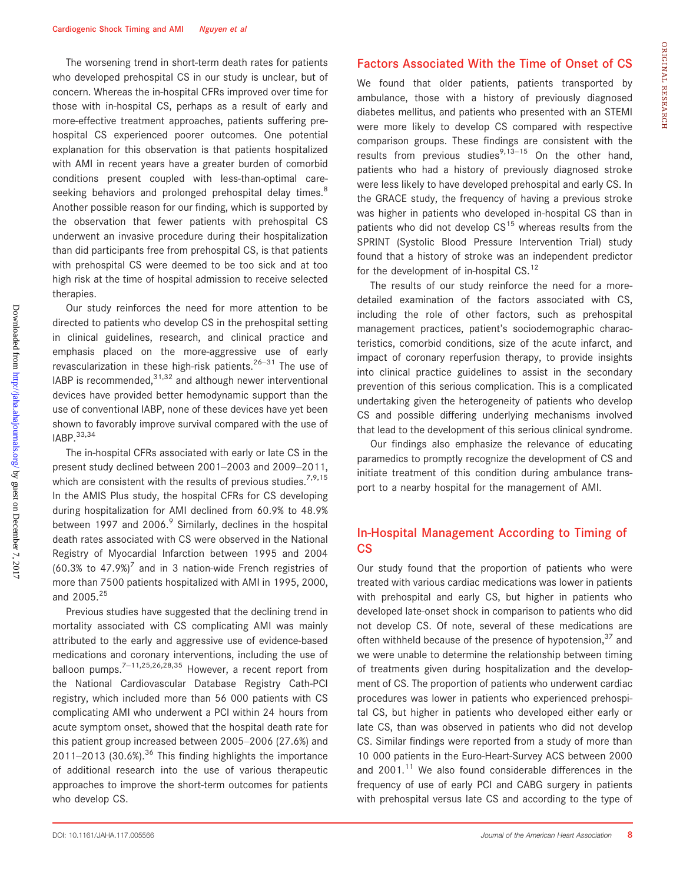The worsening trend in short-term death rates for patients who developed prehospital CS in our study is unclear, but of concern. Whereas the in-hospital CFRs improved over time for those with in-hospital CS, perhaps as a result of early and more-effective treatment approaches, patients suffering prehospital CS experienced poorer outcomes. One potential explanation for this observation is that patients hospitalized with AMI in recent years have a greater burden of comorbid conditions present coupled with less-than-optimal careseeking behaviors and prolonged prehospital delay times.<sup>8</sup> Another possible reason for our finding, which is supported by the observation that fewer patients with prehospital CS underwent an invasive procedure during their hospitalization than did participants free from prehospital CS, is that patients with prehospital CS were deemed to be too sick and at too high risk at the time of hospital admission to receive selected therapies.

Our study reinforces the need for more attention to be directed to patients who develop CS in the prehospital setting in clinical guidelines, research, and clinical practice and emphasis placed on the more-aggressive use of early revascularization in these high-risk patients.<sup>26–31</sup> The use of IABP is recommended,31,32 and although newer interventional devices have provided better hemodynamic support than the use of conventional IABP, none of these devices have yet been shown to favorably improve survival compared with the use of IABP.33,34

The in-hospital CFRs associated with early or late CS in the present study declined between 2001–2003 and 2009–2011, which are consistent with the results of previous studies.<sup>7,9,15</sup> In the AMIS Plus study, the hospital CFRs for CS developing during hospitalization for AMI declined from 60.9% to 48.9% between 1997 and 2006.<sup>9</sup> Similarly, declines in the hospital death rates associated with CS were observed in the National Registry of Myocardial Infarction between 1995 and 2004  $(60.3\%$  to 47.9%)<sup>7</sup> and in 3 nation-wide French registries of more than 7500 patients hospitalized with AMI in 1995, 2000, and 2005.<sup>25</sup>

Previous studies have suggested that the declining trend in mortality associated with CS complicating AMI was mainly attributed to the early and aggressive use of evidence-based medications and coronary interventions, including the use of balloon pumps.<sup>7-11,25,26,28,35</sup> However, a recent report from the National Cardiovascular Database Registry Cath-PCI registry, which included more than 56 000 patients with CS complicating AMI who underwent a PCI within 24 hours from acute symptom onset, showed that the hospital death rate for this patient group increased between 2005–2006 (27.6%) and 2011–2013 (30.6%).<sup>36</sup> This finding highlights the importance of additional research into the use of various therapeutic approaches to improve the short-term outcomes for patients who develop CS.

## Factors Associated With the Time of Onset of CS

We found that older patients, patients transported by ambulance, those with a history of previously diagnosed diabetes mellitus, and patients who presented with an STEMI were more likely to develop CS compared with respective comparison groups. These findings are consistent with the results from previous studies<sup>9,13–15</sup> On the other hand, patients who had a history of previously diagnosed stroke were less likely to have developed prehospital and early CS. In the GRACE study, the frequency of having a previous stroke was higher in patients who developed in-hospital CS than in patients who did not develop  $CS^{15}$  whereas results from the SPRINT (Systolic Blood Pressure Intervention Trial) study found that a history of stroke was an independent predictor for the development of in-hospital  $CS.<sup>12</sup>$ 

The results of our study reinforce the need for a moredetailed examination of the factors associated with CS, including the role of other factors, such as prehospital management practices, patient's sociodemographic characteristics, comorbid conditions, size of the acute infarct, and impact of coronary reperfusion therapy, to provide insights into clinical practice guidelines to assist in the secondary prevention of this serious complication. This is a complicated undertaking given the heterogeneity of patients who develop CS and possible differing underlying mechanisms involved that lead to the development of this serious clinical syndrome.

Our findings also emphasize the relevance of educating paramedics to promptly recognize the development of CS and initiate treatment of this condition during ambulance transport to a nearby hospital for the management of AMI.

## In-Hospital Management According to Timing of CS

Our study found that the proportion of patients who were treated with various cardiac medications was lower in patients with prehospital and early CS, but higher in patients who developed late-onset shock in comparison to patients who did not develop CS. Of note, several of these medications are often withheld because of the presence of hypotension,  $37$  and we were unable to determine the relationship between timing of treatments given during hospitalization and the development of CS. The proportion of patients who underwent cardiac procedures was lower in patients who experienced prehospital CS, but higher in patients who developed either early or late CS, than was observed in patients who did not develop CS. Similar findings were reported from a study of more than 10 000 patients in the Euro-Heart-Survey ACS between 2000 and  $2001.<sup>11</sup>$  We also found considerable differences in the frequency of use of early PCI and CABG surgery in patients with prehospital versus late CS and according to the type of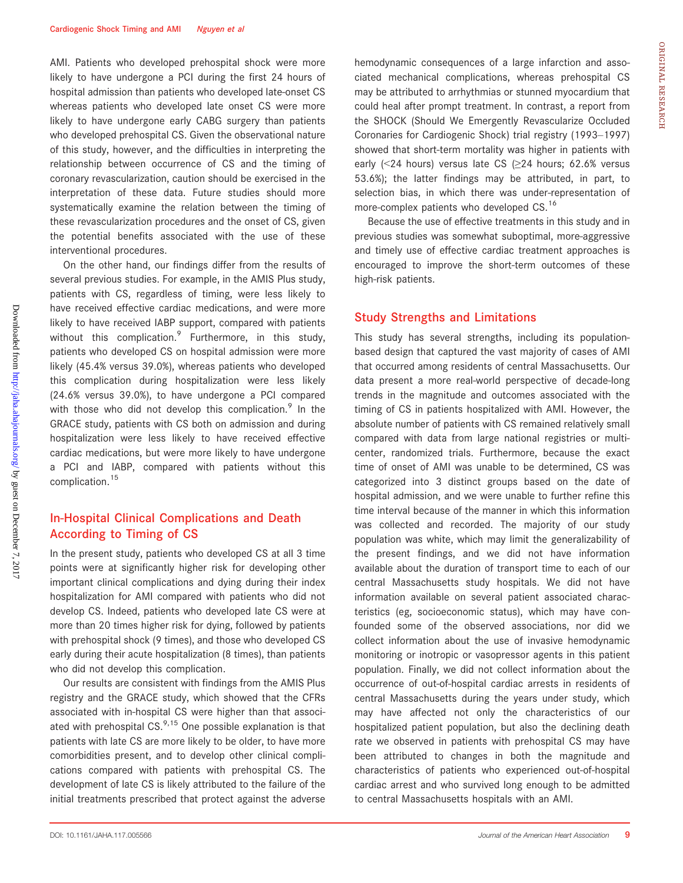AMI. Patients who developed prehospital shock were more likely to have undergone a PCI during the first 24 hours of hospital admission than patients who developed late-onset CS whereas patients who developed late onset CS were more likely to have undergone early CABG surgery than patients who developed prehospital CS. Given the observational nature of this study, however, and the difficulties in interpreting the relationship between occurrence of CS and the timing of coronary revascularization, caution should be exercised in the interpretation of these data. Future studies should more systematically examine the relation between the timing of these revascularization procedures and the onset of CS, given the potential benefits associated with the use of these interventional procedures.

On the other hand, our findings differ from the results of several previous studies. For example, in the AMIS Plus study, patients with CS, regardless of timing, were less likely to have received effective cardiac medications, and were more likely to have received IABP support, compared with patients without this complication. $9$  Furthermore, in this study, patients who developed CS on hospital admission were more likely (45.4% versus 39.0%), whereas patients who developed this complication during hospitalization were less likely (24.6% versus 39.0%), to have undergone a PCI compared with those who did not develop this complication. $9$  In the GRACE study, patients with CS both on admission and during hospitalization were less likely to have received effective cardiac medications, but were more likely to have undergone a PCI and IABP, compared with patients without this complication.<sup>15</sup>

## In-Hospital Clinical Complications and Death According to Timing of CS

In the present study, patients who developed CS at all 3 time points were at significantly higher risk for developing other important clinical complications and dying during their index hospitalization for AMI compared with patients who did not develop CS. Indeed, patients who developed late CS were at more than 20 times higher risk for dying, followed by patients with prehospital shock (9 times), and those who developed CS early during their acute hospitalization (8 times), than patients who did not develop this complication.

Our results are consistent with findings from the AMIS Plus registry and the GRACE study, which showed that the CFRs associated with in-hospital CS were higher than that associated with prehospital  $CS$ .<sup>9,15</sup> One possible explanation is that patients with late CS are more likely to be older, to have more comorbidities present, and to develop other clinical complications compared with patients with prehospital CS. The development of late CS is likely attributed to the failure of the initial treatments prescribed that protect against the adverse

hemodynamic consequences of a large infarction and associated mechanical complications, whereas prehospital CS may be attributed to arrhythmias or stunned myocardium that could heal after prompt treatment. In contrast, a report from the SHOCK (Should We Emergently Revascularize Occluded Coronaries for Cardiogenic Shock) trial registry (1993–1997) showed that short-term mortality was higher in patients with early (<24 hours) versus late CS (≥24 hours; 62.6% versus 53.6%); the latter findings may be attributed, in part, to selection bias, in which there was under-representation of more-complex patients who developed CS.<sup>16</sup>

Because the use of effective treatments in this study and in previous studies was somewhat suboptimal, more-aggressive and timely use of effective cardiac treatment approaches is encouraged to improve the short-term outcomes of these high-risk patients.

#### Study Strengths and Limitations

This study has several strengths, including its populationbased design that captured the vast majority of cases of AMI that occurred among residents of central Massachusetts. Our data present a more real-world perspective of decade-long trends in the magnitude and outcomes associated with the timing of CS in patients hospitalized with AMI. However, the absolute number of patients with CS remained relatively small compared with data from large national registries or multicenter, randomized trials. Furthermore, because the exact time of onset of AMI was unable to be determined, CS was categorized into 3 distinct groups based on the date of hospital admission, and we were unable to further refine this time interval because of the manner in which this information was collected and recorded. The majority of our study population was white, which may limit the generalizability of the present findings, and we did not have information available about the duration of transport time to each of our central Massachusetts study hospitals. We did not have information available on several patient associated characteristics (eg, socioeconomic status), which may have confounded some of the observed associations, nor did we collect information about the use of invasive hemodynamic monitoring or inotropic or vasopressor agents in this patient population. Finally, we did not collect information about the occurrence of out-of-hospital cardiac arrests in residents of central Massachusetts during the years under study, which may have affected not only the characteristics of our hospitalized patient population, but also the declining death rate we observed in patients with prehospital CS may have been attributed to changes in both the magnitude and characteristics of patients who experienced out-of-hospital cardiac arrest and who survived long enough to be admitted to central Massachusetts hospitals with an AMI.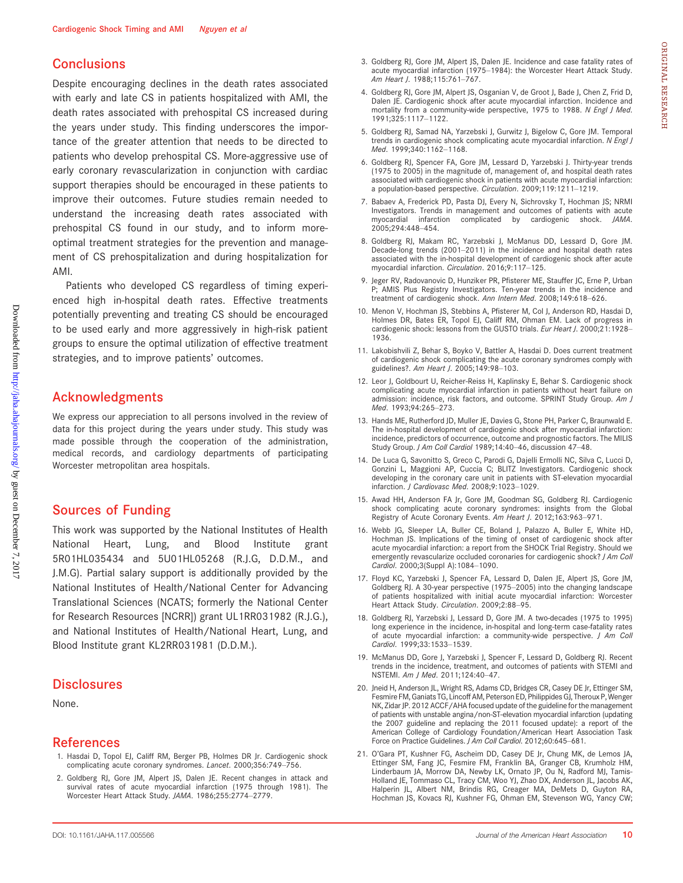## **Conclusions**

Despite encouraging declines in the death rates associated with early and late CS in patients hospitalized with AMI, the death rates associated with prehospital CS increased during the years under study. This finding underscores the importance of the greater attention that needs to be directed to patients who develop prehospital CS. More-aggressive use of early coronary revascularization in conjunction with cardiac support therapies should be encouraged in these patients to improve their outcomes. Future studies remain needed to understand the increasing death rates associated with prehospital CS found in our study, and to inform moreoptimal treatment strategies for the prevention and management of CS prehospitalization and during hospitalization for AMI.

Patients who developed CS regardless of timing experienced high in-hospital death rates. Effective treatments potentially preventing and treating CS should be encouraged to be used early and more aggressively in high-risk patient groups to ensure the optimal utilization of effective treatment strategies, and to improve patients' outcomes.

#### Acknowledgments

We express our appreciation to all persons involved in the review of data for this project during the years under study. This study was made possible through the cooperation of the administration, medical records, and cardiology departments of participating Worcester metropolitan area hospitals.

## Sources of Funding

This work was supported by the National Institutes of Health National Heart, Lung, and Blood Institute grant 5R01HL035434 and 5U01HL05268 (R.J.G, D.D.M., and J.M.G). Partial salary support is additionally provided by the National Institutes of Health/National Center for Advancing Translational Sciences (NCATS; formerly the National Center for Research Resources [NCRR]) grant UL1RR031982 (R.J.G.), and National Institutes of Health/National Heart, Lung, and Blood Institute grant KL2RR031981 (D.D.M.).

#### **Disclosures**

None.

#### References

- 1. Hasdai D, Topol EJ, Califf RM, Berger PB, Holmes DR Jr. Cardiogenic shock complicating acute coronary syndromes. Lancet. 2000;356:749–756.
- 2. Goldberg RJ, Gore JM, Alpert JS, Dalen JE. Recent changes in attack and survival rates of acute myocardial infarction (1975 through 1981). The Worcester Heart Attack Study. JAMA. 1986;255:2774–2779.
- 3. Goldberg RJ, Gore JM, Alpert JS, Dalen JE. Incidence and case fatality rates of acute myocardial infarction (1975–1984): the Worcester Heart Attack Study. Am Heart J. 1988;115:761–767.
- 4. Goldberg RJ, Gore JM, Alpert JS, Osganian V, de Groot J, Bade J, Chen Z, Frid D, Dalen JE. Cardiogenic shock after acute myocardial infarction. Incidence and mortality from a community-wide perspective, 1975 to 1988. N Engl J Med. 1991;325:1117–1122.
- 5. Goldberg RJ, Samad NA, Yarzebski J, Gurwitz J, Bigelow C, Gore JM. Temporal trends in cardiogenic shock complicating acute myocardial infarction. N Engl J Med. 1999;340:1162–1168.
- 6. Goldberg RJ, Spencer FA, Gore JM, Lessard D, Yarzebski J. Thirty-year trends (1975 to 2005) in the magnitude of, management of, and hospital death rates associated with cardiogenic shock in patients with acute myocardial infarction: a population-based perspective. Circulation. 2009;119:1211–1219.
- 7. Babaev A, Frederick PD, Pasta DJ, Every N, Sichrovsky T, Hochman JS; NRMI Investigators. Trends in management and outcomes of patients with acute myocardial infarction complicated by cardiogenic shock. JAMA. 2005;294:448–454.
- 8. Goldberg RJ, Makam RC, Yarzebski J, McManus DD, Lessard D, Gore JM. Decade-long trends (2001–2011) in the incidence and hospital death rates associated with the in-hospital development of cardiogenic shock after acute myocardial infarction. Circulation. 2016;9:117–125.
- 9. Jeger RV, Radovanovic D, Hunziker PR, Pfisterer ME, Stauffer JC, Erne P, Urban P; AMIS Plus Registry Investigators. Ten-year trends in the incidence and treatment of cardiogenic shock. Ann Intern Med. 2008;149:618–626.
- 10. Menon V, Hochman JS, Stebbins A, Pfisterer M, Col J, Anderson RD, Hasdai D, Holmes DR, Bates ER, Topol EJ, Califf RM, Ohman EM. Lack of progress in cardiogenic shock: lessons from the GUSTO trials. Eur Heart J. 2000;21:1928-1936.
- 11. Lakobishvili Z, Behar S, Boyko V, Battler A, Hasdai D. Does current treatment of cardiogenic shock complicating the acute coronary syndromes comply with guidelines?. Am Heart J. 2005;149:98–103.
- 12. Leor J, Goldbourt U, Reicher-Reiss H, Kaplinsky E, Behar S. Cardiogenic shock complicating acute myocardial infarction in patients without heart failure on admission: incidence, risk factors, and outcome. SPRINT Study Group. Am J Med. 1993;94:265–273.
- 13. Hands ME, Rutherford JD, Muller JE, Davies G, Stone PH, Parker C, Braunwald E. The in-hospital development of cardiogenic shock after myocardial infarction: incidence, predictors of occurrence, outcome and prognostic factors. The MILIS Study Group. J Am Coll Cardiol 1989;14:40-46, discussion 47-48.
- 14. De Luca G, Savonitto S, Greco C, Parodi G, Dajelli Ermolli NC, Silva C, Lucci D, Gonzini L, Maggioni AP, Cuccia C; BLITZ Investigators. Cardiogenic shock developing in the coronary care unit in patients with ST-elevation myocardial infarction. J Cardiovasc Med. 2008;9:1023–1029.
- 15. Awad HH, Anderson FA Jr, Gore JM, Goodman SG, Goldberg RJ. Cardiogenic shock complicating acute coronary syndromes: insights from the Global Registry of Acute Coronary Events. Am Heart J. 2012;163:963–971.
- 16. Webb JG, Sleeper LA, Buller CE, Boland J, Palazzo A, Buller E, White HD, Hochman JS. Implications of the timing of onset of cardiogenic shock after acute myocardial infarction: a report from the SHOCK Trial Registry. Should we emergently revascularize occluded coronaries for cardiogenic shock? J Am Coll Cardiol. 2000;3(Suppl A):1084–1090.
- 17. Floyd KC, Yarzebski J, Spencer FA, Lessard D, Dalen JE, Alpert JS, Gore JM, Goldberg RJ. A 30-year perspective (1975–2005) into the changing landscape of patients hospitalized with initial acute myocardial infarction: Worcester Heart Attack Study. Circulation. 2009;2:88–95.
- 18. Goldberg RJ, Yarzebski J, Lessard D, Gore JM. A two-decades (1975 to 1995) long experience in the incidence, in-hospital and long-term case-fatality rates of acute myocardial infarction: a community-wide perspective. J Am Coll Cardiol. 1999;33:1533–1539.
- 19. McManus DD, Gore J, Yarzebski J, Spencer F, Lessard D, Goldberg RJ. Recent trends in the incidence, treatment, and outcomes of patients with STEMI and NSTEMI. Am J Med. 2011;124:40–47.
- 20. Jneid H, Anderson JL, Wright RS, Adams CD, Bridges CR, Casey DE Jr, Ettinger SM, Fesmire FM, Ganiats TG, Lincoff AM, Peterson ED, Philippides GJ, Theroux P, Wenger NK, Zidar JP. 2012 ACCF/AHA focused update of the guideline for the management of patients with unstable angina/non-ST-elevation myocardial infarction (updating the 2007 guideline and replacing the 2011 focused update): a report of the American College of Cardiology Foundation/American Heart Association Task Force on Practice Guidelines. J Am Coll Cardiol. 2012;60:645–681.
- 21. O'Gara PT, Kushner FG, Ascheim DD, Casey DE Jr, Chung MK, de Lemos JA, Ettinger SM, Fang JC, Fesmire FM, Franklin BA, Granger CB, Krumholz HM, Linderbaum JA, Morrow DA, Newby LK, Ornato JP, Ou N, Radford MJ, Tamis-Holland JE, Tommaso CL, Tracy CM, Woo YJ, Zhao DX, Anderson JL, Jacobs AK, Halperin JL, Albert NM, Brindis RG, Creager MA, DeMets D, Guyton RA, Hochman JS, Kovacs RJ, Kushner FG, Ohman EM, Stevenson WG, Yancy CW;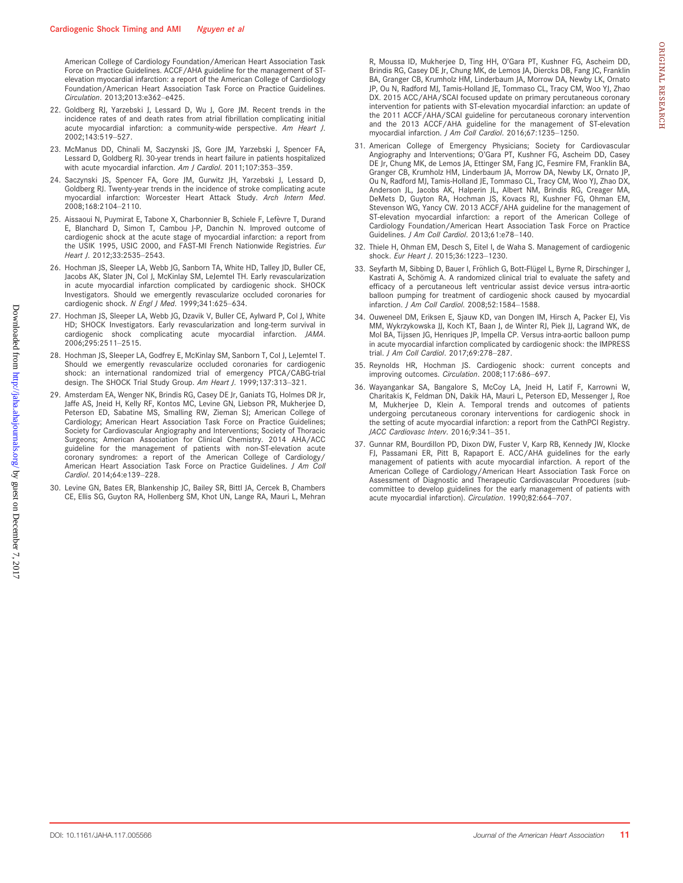American College of Cardiology Foundation/American Heart Association Task Force on Practice Guidelines. ACCF/AHA guideline for the management of STelevation myocardial infarction: a report of the American College of Cardiology Foundation/American Heart Association Task Force on Practice Guidelines. Circulation. 2013;2013:e362–e425.

- 22. Goldberg RJ, Yarzebski J, Lessard D, Wu J, Gore JM. Recent trends in the incidence rates of and death rates from atrial fibrillation complicating initial acute myocardial infarction: a community-wide perspective. Am Heart J. 2002;143:519–527.
- 23. McManus DD, Chinali M, Saczynski JS, Gore JM, Yarzebski J, Spencer FA, Lessard D, Goldberg RJ. 30-year trends in heart failure in patients hospitalized with acute myocardial infarction. Am J Cardiol. 2011;107:353-359.
- 24. Saczynski JS, Spencer FA, Gore JM, Gurwitz JH, Yarzebski J, Lessard D, Goldberg RJ. Twenty-year trends in the incidence of stroke complicating acute myocardial infarction: Worcester Heart Attack Study. Arch Intern Med. 2008;168:2104–2110.
- 25. Aissaoui N, Puymirat E, Tabone X, Charbonnier B, Schiele F, Lefèvre T, Durand E, Blanchard D, Simon T, Cambou J-P, Danchin N. Improved outcome of cardiogenic shock at the acute stage of myocardial infarction: a report from the USIK 1995, USIC 2000, and FAST-MI French Nationwide Registries. Eur Heart J. 2012;33:2535–2543.
- 26. Hochman JS, Sleeper LA, Webb JG, Sanborn TA, White HD, Talley JD, Buller CE, Jacobs AK, Slater JN, Col J, McKinlay SM, LeJemtel TH. Early revascularization in acute myocardial infarction complicated by cardiogenic shock. SHOCK Investigators. Should we emergently revascularize occluded coronaries for cardiogenic shock. N Engl J Med. 1999;341:625-634.
- 27. Hochman JS, Sleeper LA, Webb JG, Dzavik V, Buller CE, Aylward P, Col J, White HD; SHOCK Investigators. Early revascularization and long-term survival in cardiogenic shock complicating acute myocardial infarction. JAMA. 2006;295:2511–2515.
- 28. Hochman JS, Sleeper LA, Godfrey E, McKinlay SM, Sanborn T, Col J, LeJemtel T. Should we emergently revascularize occluded coronaries for cardiogenic shock: an international randomized trial of emergency PTCA/CABG-trial design. The SHOCK Trial Study Group. Am Heart J. 1999;137:313-321.
- 29. Amsterdam EA, Wenger NK, Brindis RG, Casey DE Jr, Ganiats TG, Holmes DR Jr, Jaffe AS, Jneid H, Kelly RF, Kontos MC, Levine GN, Liebson PR, Mukherjee D, Peterson ED, Sabatine MS, Smalling RW, Zieman SJ; American College of Cardiology; American Heart Association Task Force on Practice Guidelines; Society for Cardiovascular Angiography and Interventions; Society of Thoracic Surgeons; American Association for Clinical Chemistry. 2014 AHA/ACC guideline for the management of patients with non-ST-elevation acute coronary syndromes: a report of the American College of Cardiology/ American Heart Association Task Force on Practice Guidelines. J Am Coll Cardiol. 2014;64:e139–228.
- 30. Levine GN, Bates ER, Blankenship JC, Bailey SR, Bittl JA, Cercek B, Chambers CE, Ellis SG, Guyton RA, Hollenberg SM, Khot UN, Lange RA, Mauri L, Mehran

R, Moussa ID, Mukherjee D, Ting HH, O'Gara PT, Kushner FG, Ascheim DD, Brindis RG, Casey DE Jr, Chung MK, de Lemos JA, Diercks DB, Fang JC, Franklin BA, Granger CB, Krumholz HM, Linderbaum JA, Morrow DA, Newby LK, Ornato JP, Ou N, Radford MJ, Tamis-Holland JE, Tommaso CL, Tracy CM, Woo YJ, Zhao DX. 2015 ACC/AHA/SCAI focused update on primary percutaneous coronary intervention for patients with ST-elevation myocardial infarction: an update of the 2011 ACCF/AHA/SCAI guideline for percutaneous coronary intervention and the 2013 ACCF/AHA guideline for the management of ST-elevation<br>myocardial infarction. J Am Coll Cardiol. 2016;67:1235-1250.

- 31. American College of Emergency Physicians; Society for Cardiovascular Angiography and Interventions; O'Gara PT, Kushner FG, Ascheim DD, Casey DE Jr, Chung MK, de Lemos JA, Ettinger SM, Fang JC, Fesmire FM, Franklin BA, Granger CB, Krumholz HM, Linderbaum JA, Morrow DA, Newby LK, Ornato JP, Ou N, Radford MJ, Tamis-Holland JE, Tommaso CL, Tracy CM, Woo YJ, Zhao DX, Anderson JL, Jacobs AK, Halperin JL, Albert NM, Brindis RG, Creager MA, DeMets D, Guyton RA, Hochman JS, Kovacs RJ, Kushner FG, Ohman EM, Stevenson WG, Yancy CW. 2013 ACCF/AHA guideline for the management of ST-elevation myocardial infarction: a report of the American College of Cardiology Foundation/American Heart Association Task Force on Practice Guidelines. J Am Coll Cardiol. 2013;61:e78–140.
- 32. Thiele H, Ohman EM, Desch S, Eitel I, de Waha S. Management of cardiogenic shock. Eur Heart J. 2015;36:1223–1230.
- 33. Seyfarth M, Sibbing D, Bauer I, Fröhlich G, Bott-Flügel L, Byrne R, Dirschinger J, Kastrati A, Schömig A. A randomized clinical trial to evaluate the safety and efficacy of a percutaneous left ventricular assist device versus intra-aortic balloon pumping for treatment of cardiogenic shock caused by myocardial infarction. J Am Coll Cardiol. 2008;52:1584–1588.
- 34. Ouweneel DM, Eriksen E, Sjauw KD, van Dongen IM, Hirsch A, Packer EJ, Vis MM, Wykrzykowska JJ, Koch KT, Baan J, de Winter RJ, Piek JJ, Lagrand WK, de Mol BA, Tijssen JG, Henriques JP, Impella CP. Versus intra-aortic balloon pump in acute myocardial infarction complicated by cardiogenic shock: the IMPRESS trial. J Am Coll Cardiol. 2017;69:278–287.
- 35. Reynolds HR, Hochman JS. Cardiogenic shock: current concepts and improving outcomes. Circulation. 2008;117:686–697.
- 36. Wayangankar SA, Bangalore S, McCoy LA, Jneid H, Latif F, Karrowni W, Charitakis K, Feldman DN, Dakik HA, Mauri L, Peterson ED, Messenger J, Roe M, Mukherjee D, Klein A. Temporal trends and outcomes of patients undergoing percutaneous coronary interventions for cardiogenic shock in the setting of acute myocardial infarction: a report from the CathPCI Registry. JACC Cardiovasc Interv. 2016;9:341–351.
- 37. Gunnar RM, Bourdillon PD, Dixon DW, Fuster V, Karp RB, Kennedy JW, Klocke FJ, Passamani ER, Pitt B, Rapaport E. ACC/AHA guidelines for the early management of patients with acute myocardial infarction. A report of the American College of Cardiology/American Heart Association Task Force on Assessment of Diagnostic and Therapeutic Cardiovascular Procedures (subcommittee to develop guidelines for the early management of patients with acute myocardial infarction). Circulation. 1990;82:664–707.